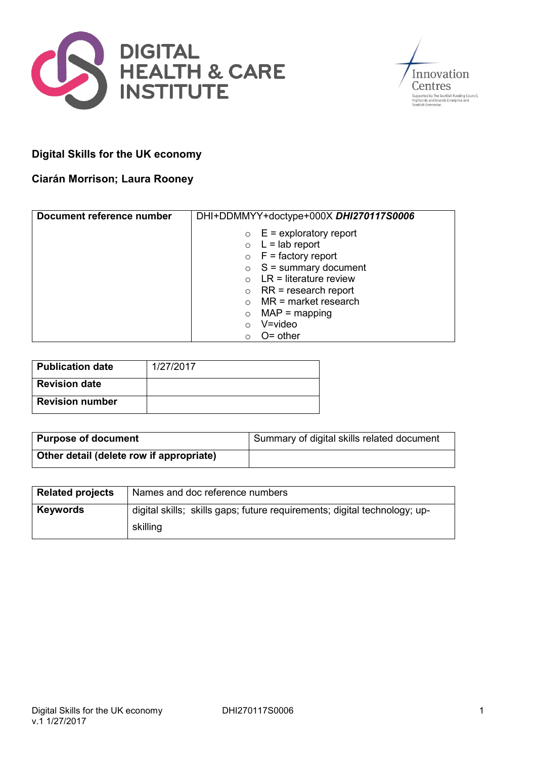



# **Digital Skills for the UK economy**

# **Ciarán Morrison; Laura Rooney**

| Document reference number | DHI+DDMMYY+doctype+000X DHI270117S0006 |  |  |
|---------------------------|----------------------------------------|--|--|
|                           | $\circ$ E = exploratory report         |  |  |
|                           | $\circ$ L = lab report                 |  |  |
|                           | $\circ$ F = factory report             |  |  |
|                           | $\circ$ S = summary document           |  |  |
|                           | $LR =$ literature review               |  |  |
|                           | $RR = research report$<br>$\circ$      |  |  |
|                           | $MR = market research$                 |  |  |
|                           | $MAP = mapping$                        |  |  |
|                           | $V = video$                            |  |  |
|                           | $O =$ other                            |  |  |

| Publication date       | 1/27/2017 |
|------------------------|-----------|
| <b>Revision date</b>   |           |
| <b>Revision number</b> |           |

| <b>Purpose of document</b>               | Summary of digital skills related document |
|------------------------------------------|--------------------------------------------|
| Other detail (delete row if appropriate) |                                            |

| <b>Related projects</b> | Names and doc reference numbers                                           |
|-------------------------|---------------------------------------------------------------------------|
| <b>Keywords</b>         | digital skills; skills gaps; future requirements; digital technology; up- |
|                         | skilling                                                                  |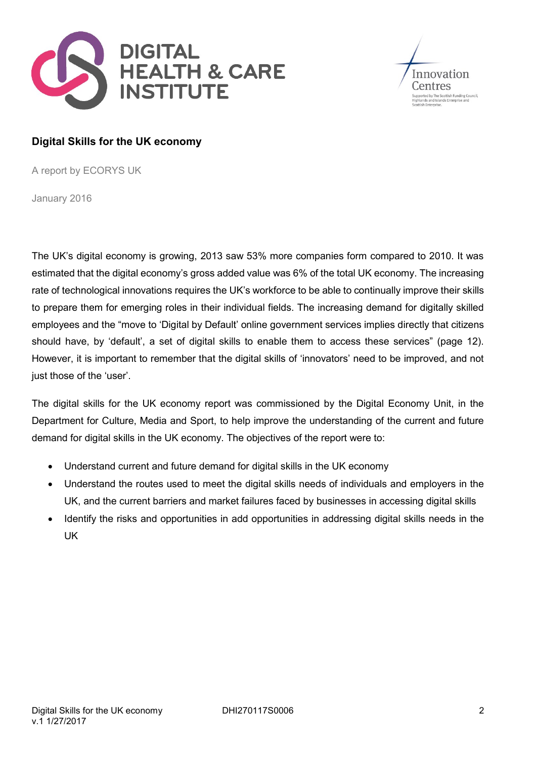



# **Digital Skills for the UK economy**

A report by ECORYS UK

January 2016

The UK's digital economy is growing, 2013 saw 53% more companies form compared to 2010. It was estimated that the digital economy's gross added value was 6% of the total UK economy. The increasing rate of technological innovations requires the UK's workforce to be able to continually improve their skills to prepare them for emerging roles in their individual fields. The increasing demand for digitally skilled employees and the "move to 'Digital by Default' online government services implies directly that citizens should have, by 'default', a set of digital skills to enable them to access these services" (page 12). However, it is important to remember that the digital skills of 'innovators' need to be improved, and not just those of the 'user'.

The digital skills for the UK economy report was commissioned by the Digital Economy Unit, in the Department for Culture, Media and Sport, to help improve the understanding of the current and future demand for digital skills in the UK economy. The objectives of the report were to:

- Understand current and future demand for digital skills in the UK economy
- Understand the routes used to meet the digital skills needs of individuals and employers in the UK, and the current barriers and market failures faced by businesses in accessing digital skills
- Identify the risks and opportunities in add opportunities in addressing digital skills needs in the UK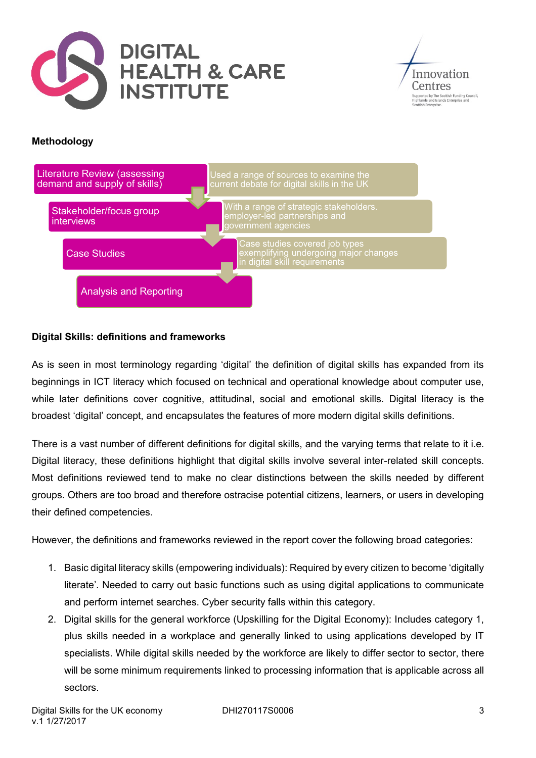



# **Methodology**



# **Digital Skills: definitions and frameworks**

As is seen in most terminology regarding 'digital' the definition of digital skills has expanded from its beginnings in ICT literacy which focused on technical and operational knowledge about computer use, while later definitions cover cognitive, attitudinal, social and emotional skills. Digital literacy is the broadest 'digital' concept, and encapsulates the features of more modern digital skills definitions.

There is a vast number of different definitions for digital skills, and the varying terms that relate to it i.e. Digital literacy, these definitions highlight that digital skills involve several inter-related skill concepts. Most definitions reviewed tend to make no clear distinctions between the skills needed by different groups. Others are too broad and therefore ostracise potential citizens, learners, or users in developing their defined competencies.

However, the definitions and frameworks reviewed in the report cover the following broad categories:

- 1. Basic digital literacy skills (empowering individuals): Required by every citizen to become 'digitally literate'. Needed to carry out basic functions such as using digital applications to communicate and perform internet searches. Cyber security falls within this category.
- 2. Digital skills for the general workforce (Upskilling for the Digital Economy): Includes category 1, plus skills needed in a workplace and generally linked to using applications developed by IT specialists. While digital skills needed by the workforce are likely to differ sector to sector, there will be some minimum requirements linked to processing information that is applicable across all sectors.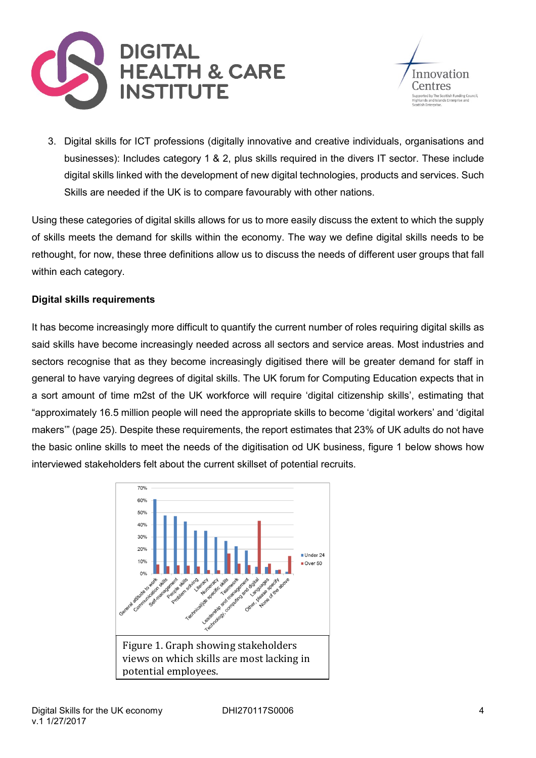



3. Digital skills for ICT professions (digitally innovative and creative individuals, organisations and businesses): Includes category 1 & 2, plus skills required in the divers IT sector. These include digital skills linked with the development of new digital technologies, products and services. Such Skills are needed if the UK is to compare favourably with other nations.

Using these categories of digital skills allows for us to more easily discuss the extent to which the supply of skills meets the demand for skills within the economy. The way we define digital skills needs to be rethought, for now, these three definitions allow us to discuss the needs of different user groups that fall within each category.

# **Digital skills requirements**

It has become increasingly more difficult to quantify the current number of roles requiring digital skills as said skills have become increasingly needed across all sectors and service areas. Most industries and sectors recognise that as they become increasingly digitised there will be greater demand for staff in general to have varying degrees of digital skills. The UK forum for Computing Education expects that in a sort amount of time m2st of the UK workforce will require 'digital citizenship skills', estimating that "approximately 16.5 million people will need the appropriate skills to become 'digital workers' and 'digital makers'" (page 25). Despite these requirements, the report estimates that 23% of UK adults do not have the basic online skills to meet the needs of the digitisation od UK business, figure 1 below shows how interviewed stakeholders felt about the current skillset of potential recruits.

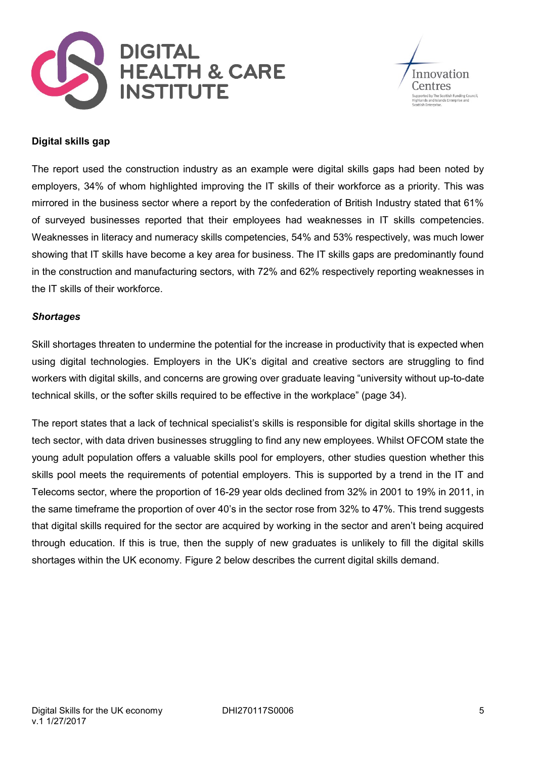![](_page_4_Picture_0.jpeg)

![](_page_4_Picture_1.jpeg)

#### **Digital skills gap**

The report used the construction industry as an example were digital skills gaps had been noted by employers, 34% of whom highlighted improving the IT skills of their workforce as a priority. This was mirrored in the business sector where a report by the confederation of British Industry stated that 61% of surveyed businesses reported that their employees had weaknesses in IT skills competencies. Weaknesses in literacy and numeracy skills competencies, 54% and 53% respectively, was much lower showing that IT skills have become a key area for business. The IT skills gaps are predominantly found in the construction and manufacturing sectors, with 72% and 62% respectively reporting weaknesses in the IT skills of their workforce.

#### *Shortages*

Skill shortages threaten to undermine the potential for the increase in productivity that is expected when using digital technologies. Employers in the UK's digital and creative sectors are struggling to find workers with digital skills, and concerns are growing over graduate leaving "university without up-to-date technical skills, or the softer skills required to be effective in the workplace" (page 34).

The report states that a lack of technical specialist's skills is responsible for digital skills shortage in the tech sector, with data driven businesses struggling to find any new employees. Whilst OFCOM state the young adult population offers a valuable skills pool for employers, other studies question whether this skills pool meets the requirements of potential employers. This is supported by a trend in the IT and Telecoms sector, where the proportion of 16-29 year olds declined from 32% in 2001 to 19% in 2011, in the same timeframe the proportion of over 40's in the sector rose from 32% to 47%. This trend suggests that digital skills required for the sector are acquired by working in the sector and aren't being acquired through education. If this is true, then the supply of new graduates is unlikely to fill the digital skills shortages within the UK economy. Figure 2 below describes the current digital skills demand.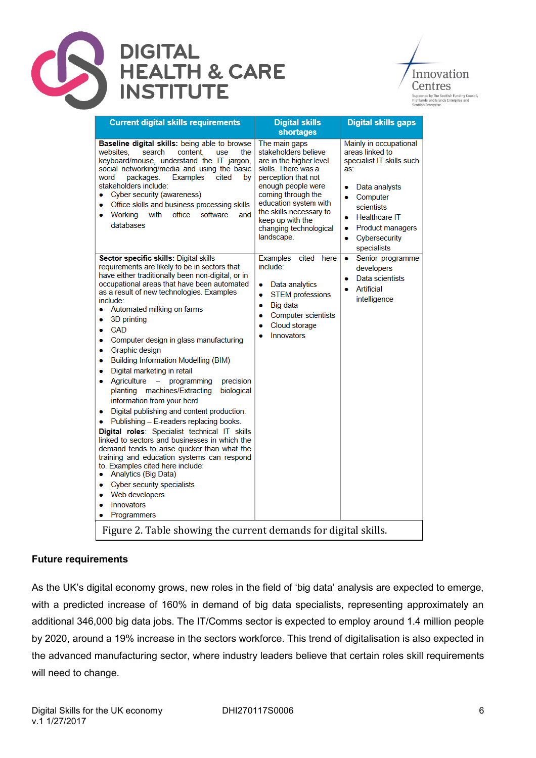![](_page_5_Picture_0.jpeg)

Innovation Centres upported by The Scottish Funding Council,<br>ighlands and Islands Enterprise and<br>cottish Enterprise.

| <b>Current digital skills requirements</b>                                                                                                                                                                                                                                                                                                                                                                                                                                                                                                                                                                                                                                                                                                                                                                                                                                                                                                                                                                                                                            | <b>Digital skills</b><br>shortages                                                                                                                                                                                                                                         | <b>Digital skills gaps</b>                                                                                                                                                                                                      |  |  |
|-----------------------------------------------------------------------------------------------------------------------------------------------------------------------------------------------------------------------------------------------------------------------------------------------------------------------------------------------------------------------------------------------------------------------------------------------------------------------------------------------------------------------------------------------------------------------------------------------------------------------------------------------------------------------------------------------------------------------------------------------------------------------------------------------------------------------------------------------------------------------------------------------------------------------------------------------------------------------------------------------------------------------------------------------------------------------|----------------------------------------------------------------------------------------------------------------------------------------------------------------------------------------------------------------------------------------------------------------------------|---------------------------------------------------------------------------------------------------------------------------------------------------------------------------------------------------------------------------------|--|--|
| Baseline digital skills: being able to browse<br>websites,<br>search<br>content.<br>use<br>the<br>keyboard/mouse, understand the IT jargon,<br>social networking/media and using the basic<br>packages.<br><b>Examples</b><br>cited<br>word<br>bv<br>stakeholders include:<br>Cyber security (awareness)<br>Office skills and business processing skills<br>۰<br>office<br>software<br>Working<br>with<br>and<br>۰<br>databases                                                                                                                                                                                                                                                                                                                                                                                                                                                                                                                                                                                                                                       | The main gaps<br>stakeholders believe<br>are in the higher level<br>skills. There was a<br>perception that not<br>enough people were<br>coming through the<br>education system with<br>the skills necessary to<br>keep up with the<br>changing technological<br>landscape. | Mainly in occupational<br>areas linked to<br>specialist IT skills such<br>as:<br>Data analysts<br>۰<br>Computer<br>۰<br>scientists<br><b>Healthcare IT</b><br><b>Product managers</b><br>۰<br>Cybersecurity<br>۰<br>specialists |  |  |
| Sector specific skills: Digital skills<br>requirements are likely to be in sectors that<br>have either traditionally been non-digital, or in<br>occupational areas that have been automated<br>as a result of new technologies. Examples<br>include:<br>Automated milking on farms<br>۰<br>3D printing<br>۰<br>CAD<br>Computer design in glass manufacturing<br>۰<br>Graphic design<br>۰<br><b>Building Information Modelling (BIM)</b><br>۰<br>Digital marketing in retail<br>۰<br>Agriculture - programming<br>precision<br>۰<br>planting machines/Extracting<br>biological<br>information from your herd<br>Digital publishing and content production.<br>Publishing - E-readers replacing books.<br>Digital roles: Specialist technical IT skills<br>linked to sectors and businesses in which the<br>demand tends to arise quicker than what the<br>training and education systems can respond<br>to. Examples cited here include:<br>Analytics (Big Data)<br>۰<br>Cyber security specialists<br>۰<br>Web developers<br>۰<br>Innovators<br>۰<br>Programmers<br>۰ | <b>Examples</b><br>cited<br>here<br>include:<br>Data analytics<br>$\bullet$<br><b>STEM</b> professions<br>۰<br>Big data<br>$\bullet$<br><b>Computer scientists</b><br>$\bullet$<br>Cloud storage<br>$\bullet$<br>Innovators                                                | Senior programme<br>۰<br>developers<br>Data scientists<br>۰<br><b>Artificial</b><br>۰<br>intelligence                                                                                                                           |  |  |
| Figure 2. Table showing the current demands for digital skills.                                                                                                                                                                                                                                                                                                                                                                                                                                                                                                                                                                                                                                                                                                                                                                                                                                                                                                                                                                                                       |                                                                                                                                                                                                                                                                            |                                                                                                                                                                                                                                 |  |  |

### **Future requirements**

As the UK's digital economy grows, new roles in the field of 'big data' analysis are expected to emerge, with a predicted increase of 160% in demand of big data specialists, representing approximately an additional 346,000 big data jobs. The IT/Comms sector is expected to employ around 1.4 million people by 2020, around a 19% increase in the sectors workforce. This trend of digitalisation is also expected in the advanced manufacturing sector, where industry leaders believe that certain roles skill requirements will need to change.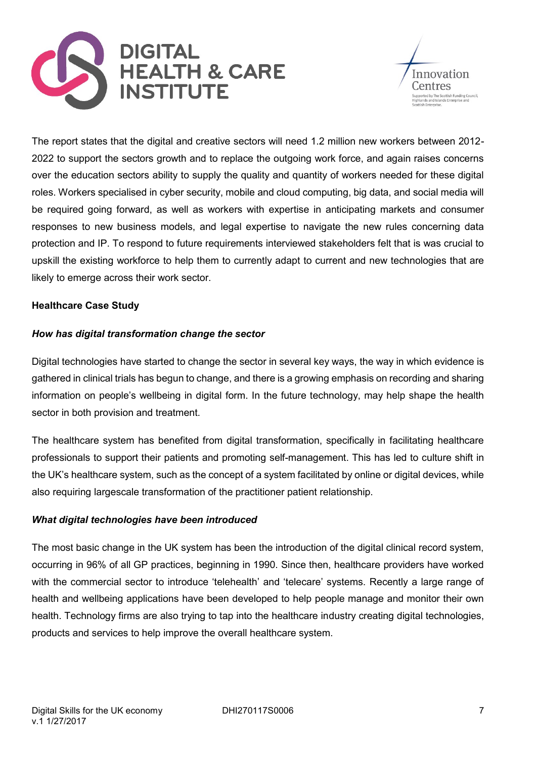![](_page_6_Picture_0.jpeg)

![](_page_6_Picture_1.jpeg)

The report states that the digital and creative sectors will need 1.2 million new workers between 2012- 2022 to support the sectors growth and to replace the outgoing work force, and again raises concerns over the education sectors ability to supply the quality and quantity of workers needed for these digital roles. Workers specialised in cyber security, mobile and cloud computing, big data, and social media will be required going forward, as well as workers with expertise in anticipating markets and consumer responses to new business models, and legal expertise to navigate the new rules concerning data protection and IP. To respond to future requirements interviewed stakeholders felt that is was crucial to upskill the existing workforce to help them to currently adapt to current and new technologies that are likely to emerge across their work sector.

# **Healthcare Case Study**

# *How has digital transformation change the sector*

Digital technologies have started to change the sector in several key ways, the way in which evidence is gathered in clinical trials has begun to change, and there is a growing emphasis on recording and sharing information on people's wellbeing in digital form. In the future technology, may help shape the health sector in both provision and treatment.

The healthcare system has benefited from digital transformation, specifically in facilitating healthcare professionals to support their patients and promoting self-management. This has led to culture shift in the UK's healthcare system, such as the concept of a system facilitated by online or digital devices, while also requiring largescale transformation of the practitioner patient relationship.

### *What digital technologies have been introduced*

The most basic change in the UK system has been the introduction of the digital clinical record system, occurring in 96% of all GP practices, beginning in 1990. Since then, healthcare providers have worked with the commercial sector to introduce 'telehealth' and 'telecare' systems. Recently a large range of health and wellbeing applications have been developed to help people manage and monitor their own health. Technology firms are also trying to tap into the healthcare industry creating digital technologies, products and services to help improve the overall healthcare system.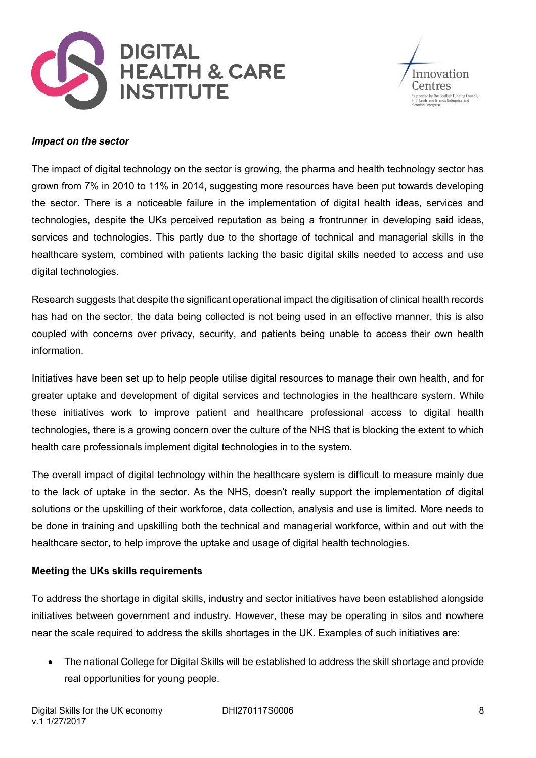![](_page_7_Picture_0.jpeg)

![](_page_7_Picture_1.jpeg)

#### *Impact on the sector*

The impact of digital technology on the sector is growing, the pharma and health technology sector has grown from 7% in 2010 to 11% in 2014, suggesting more resources have been put towards developing the sector. There is a noticeable failure in the implementation of digital health ideas, services and technologies, despite the UKs perceived reputation as being a frontrunner in developing said ideas, services and technologies. This partly due to the shortage of technical and managerial skills in the healthcare system, combined with patients lacking the basic digital skills needed to access and use digital technologies.

Research suggests that despite the significant operational impact the digitisation of clinical health records has had on the sector, the data being collected is not being used in an effective manner, this is also coupled with concerns over privacy, security, and patients being unable to access their own health information.

Initiatives have been set up to help people utilise digital resources to manage their own health, and for greater uptake and development of digital services and technologies in the healthcare system. While these initiatives work to improve patient and healthcare professional access to digital health technologies, there is a growing concern over the culture of the NHS that is blocking the extent to which health care professionals implement digital technologies in to the system.

The overall impact of digital technology within the healthcare system is difficult to measure mainly due to the lack of uptake in the sector. As the NHS, doesn't really support the implementation of digital solutions or the upskilling of their workforce, data collection, analysis and use is limited. More needs to be done in training and upskilling both the technical and managerial workforce, within and out with the healthcare sector, to help improve the uptake and usage of digital health technologies.

### **Meeting the UKs skills requirements**

To address the shortage in digital skills, industry and sector initiatives have been established alongside initiatives between government and industry. However, these may be operating in silos and nowhere near the scale required to address the skills shortages in the UK. Examples of such initiatives are:

 The national College for Digital Skills will be established to address the skill shortage and provide real opportunities for young people.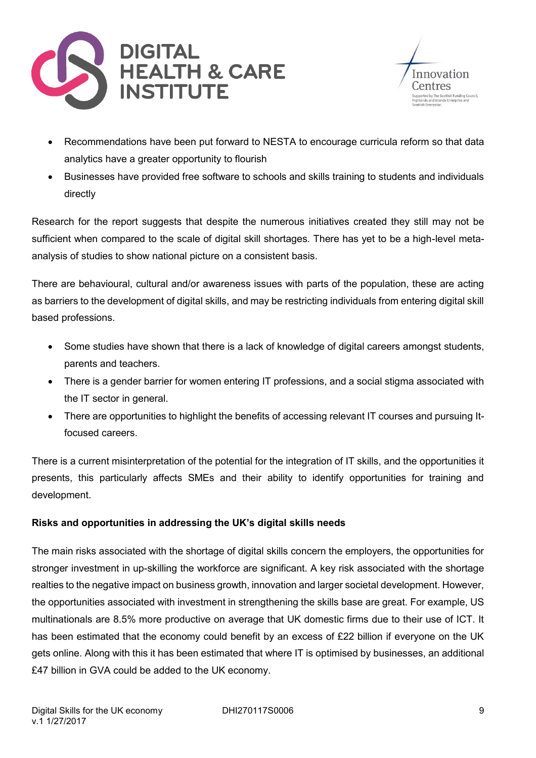![](_page_8_Picture_0.jpeg)

![](_page_8_Picture_1.jpeg)

- Recommendations have been put forward to NESTA to encourage curricula reform so that data analytics have a greater opportunity to flourish
- Businesses have provided free software to schools and skills training to students and individuals directly

Research for the report suggests that despite the numerous initiatives created they still may not be sufficient when compared to the scale of digital skill shortages. There has yet to be a high-level metaanalysis of studies to show national picture on a consistent basis.

There are behavioural, cultural and/or awareness issues with parts of the population, these are acting as barriers to the development of digital skills, and may be restricting individuals from entering digital skill based professions.

- Some studies have shown that there is a lack of knowledge of digital careers amongst students, parents and teachers.
- There is a gender barrier for women entering IT professions, and a social stigma associated with the IT sector in general.
- There are opportunities to highlight the benefits of accessing relevant IT courses and pursuing Itfocused careers.

There is a current misinterpretation of the potential for the integration of IT skills, and the opportunities it presents, this particularly affects SMEs and their ability to identify opportunities for training and development.

# **Risks and opportunities in addressing the UK's digital skills needs**

The main risks associated with the shortage of digital skills concern the employers, the opportunities for stronger investment in up-skilling the workforce are significant. A key risk associated with the shortage realties to the negative impact on business growth, innovation and larger societal development. However, the opportunities associated with investment in strengthening the skills base are great. For example, US multinationals are 8.5% more productive on average that UK domestic firms due to their use of ICT. It has been estimated that the economy could benefit by an excess of £22 billion if everyone on the UK gets online. Along with this it has been estimated that where IT is optimised by businesses, an additional £47 billion in GVA could be added to the UK economy.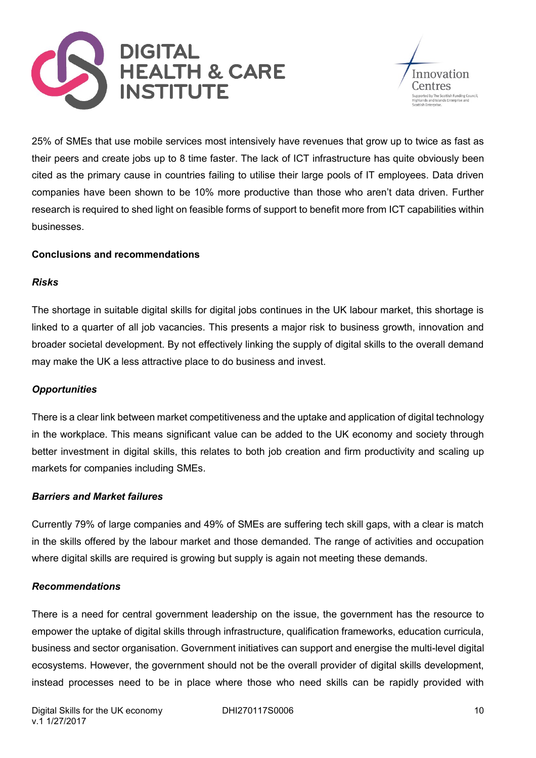![](_page_9_Picture_0.jpeg)

![](_page_9_Picture_1.jpeg)

25% of SMEs that use mobile services most intensively have revenues that grow up to twice as fast as their peers and create jobs up to 8 time faster. The lack of ICT infrastructure has quite obviously been cited as the primary cause in countries failing to utilise their large pools of IT employees. Data driven companies have been shown to be 10% more productive than those who aren't data driven. Further research is required to shed light on feasible forms of support to benefit more from ICT capabilities within businesses.

# **Conclusions and recommendations**

### *Risks*

The shortage in suitable digital skills for digital jobs continues in the UK labour market, this shortage is linked to a quarter of all job vacancies. This presents a major risk to business growth, innovation and broader societal development. By not effectively linking the supply of digital skills to the overall demand may make the UK a less attractive place to do business and invest.

### *Opportunities*

There is a clear link between market competitiveness and the uptake and application of digital technology in the workplace. This means significant value can be added to the UK economy and society through better investment in digital skills, this relates to both job creation and firm productivity and scaling up markets for companies including SMEs.

### *Barriers and Market failures*

Currently 79% of large companies and 49% of SMEs are suffering tech skill gaps, with a clear is match in the skills offered by the labour market and those demanded. The range of activities and occupation where digital skills are required is growing but supply is again not meeting these demands.

### *Recommendations*

There is a need for central government leadership on the issue, the government has the resource to empower the uptake of digital skills through infrastructure, qualification frameworks, education curricula, business and sector organisation. Government initiatives can support and energise the multi-level digital ecosystems. However, the government should not be the overall provider of digital skills development, instead processes need to be in place where those who need skills can be rapidly provided with